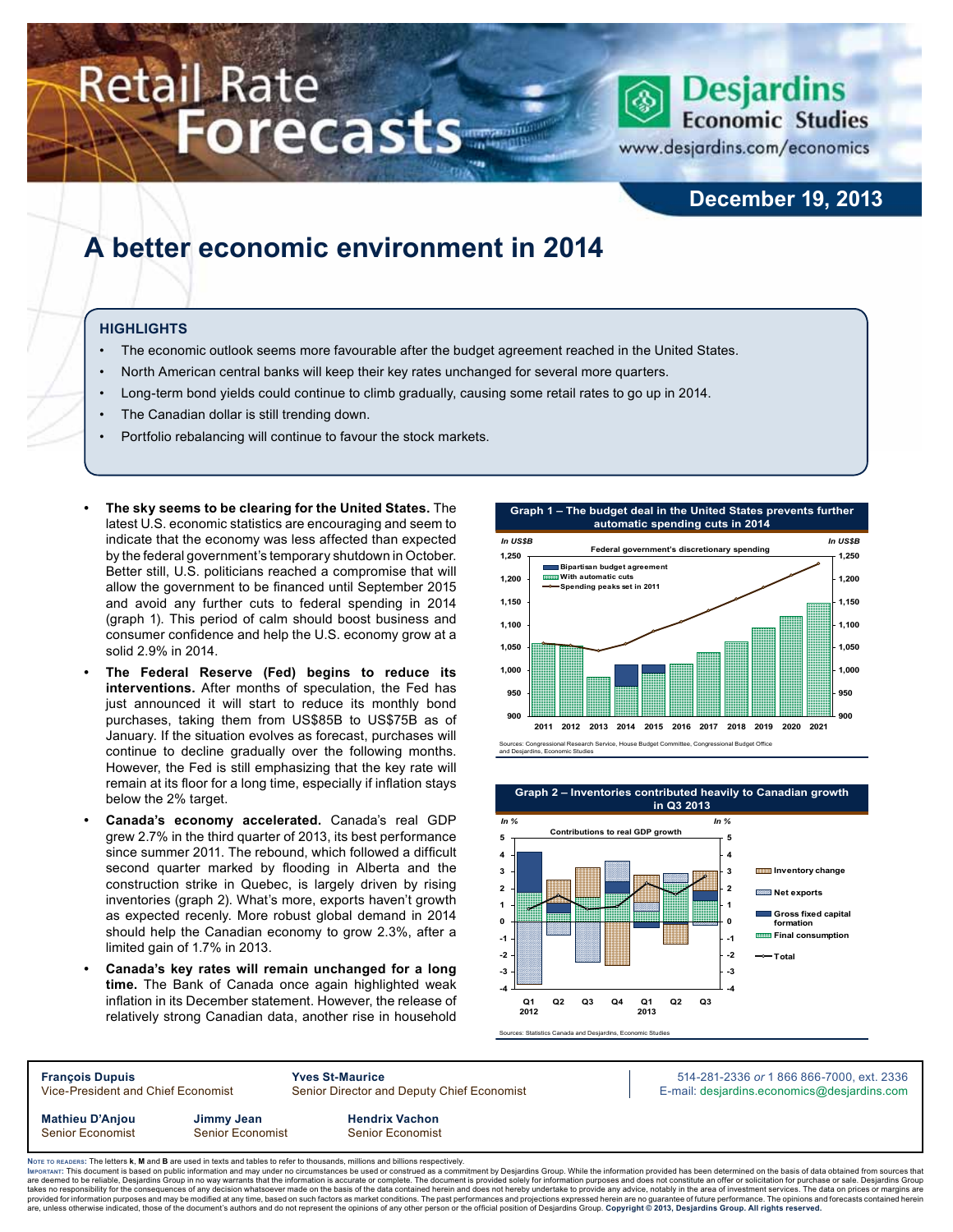# **Retail Rate** Forecasts



www.desjardins.com/economics

## **December 19, 2013**

## **A better economic environment in 2014**

#### **Highlights**

- The economic outlook seems more favourable after the budget agreement reached in the United States.
- North American central banks will keep their key rates unchanged for several more quarters.
- Long-term bond yields could continue to climb gradually, causing some retail rates to go up in 2014.
- The Canadian dollar is still trending down.
- Portfolio rebalancing will continue to favour the stock markets.
- **The sky seems to be clearing for the United States.** The latest U.S. economic statistics are encouraging and seem to indicate that the economy was less affected than expected by the federal government's temporary shutdown in October. Better still, U.S. politicians reached a compromise that will allow the government to be financed until September 2015 and avoid any further cuts to federal spending in 2014 (graph 1). This period of calm should boost business and consumer confidence and help the U.S. economy grow at a solid 2.9% in 2014.
- The Federal Reserve (Fed) begins to reduce its **interventions.** After months of speculation, the Fed has just announced it will start to reduce its monthly bond purchases, taking them from US\$85B to US\$75B as of January. If the situation evolves as forecast, purchases will continue to decline gradually over the following months. However, the Fed is still emphasizing that the key rate will remain at its floor for a long time, especially if inflation stays below the 2% target.
- **• Canada's economy accelerated.** Canada's real GDP grew 2.7% in the third quarter of 2013, its best performance since summer 2011. The rebound, which followed a difficult second quarter marked by flooding in Alberta and the construction strike in Quebec, is largely driven by rising inventories (graph 2). What's more, exports haven't growth as expected recenly. More robust global demand in 2014 should help the Canadian economy to grow 2.3%, after a limited gain of 1.7% in 2013.
- Canada's key rates will remain unchanged for a long **time.** The Bank of Canada once again highlighted weak inflation in its December statement. However, the release of relatively strong Canadian data, another rise in household





**François Dupuis Yves St-Maurice** 514-281-2336 *or* 1 866 866-7000, ext. 2336 Vice-President and Chief Economist Senior Director and Deputy Chief Economist E-mail: desjardins.economics@desjardins.com **Mathieu D'Anjou Jimmy Jean Hendrix Vachon** Senior Economist Senior Economist Senior Economist

Noте то келоекs: The letters **k, M** and **B** are used in texts and tables to refer to thousands, millions and billions respectively.<br>Імроктлит: This document is based on public information and may under no circumstances be are deemed to be reliable, Desjardins Group in no way warrants that the information is accurate or complete. The document is provided solely for information purposes and does not constitute an offer or solicitation for pur takes no responsibility for the consequences of any decision whatsoever made on the basis of the data contained herein and does not hereby undertake to provide any advice, notably in the area of investment services. The da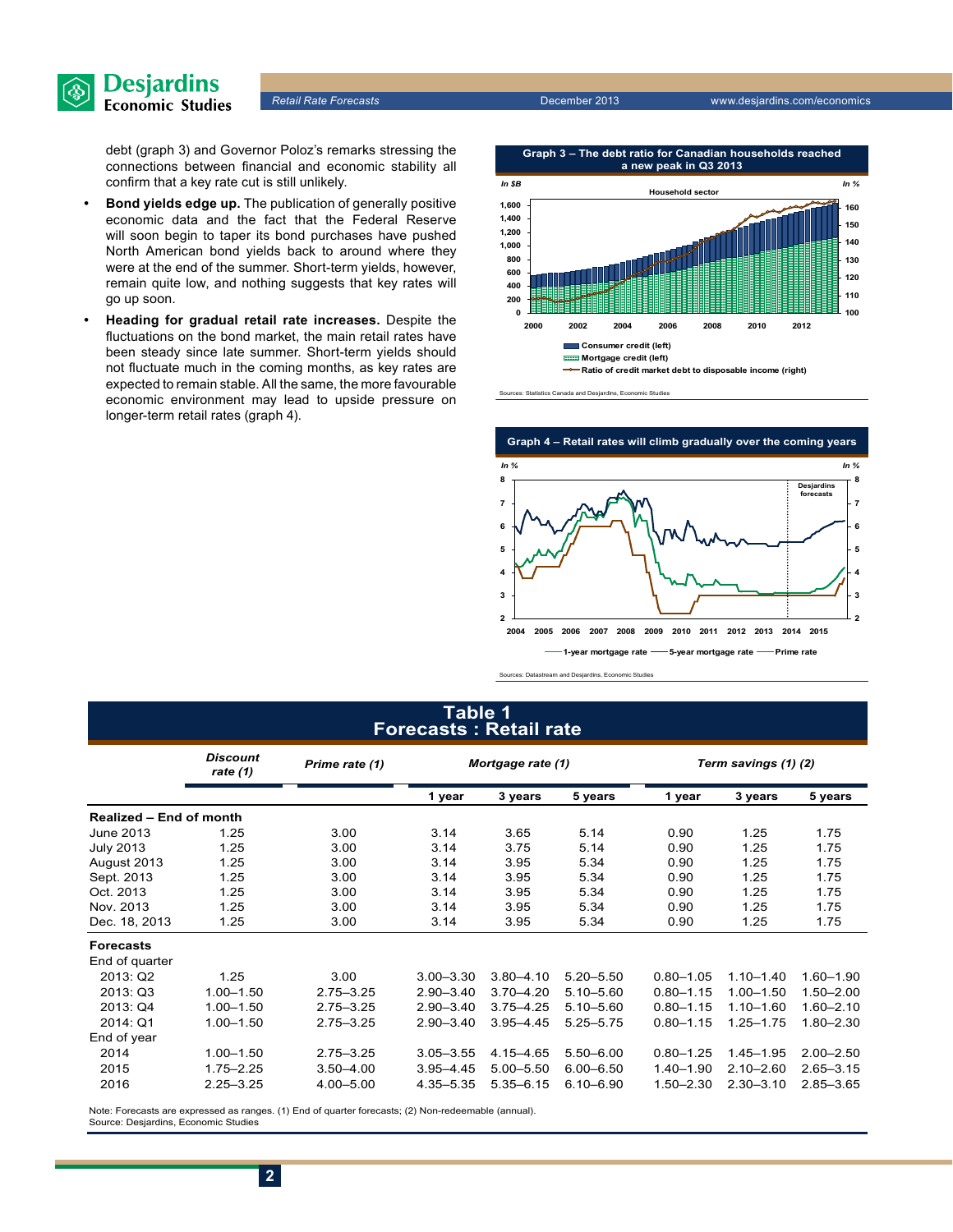

*Retail Rate Forecasts* December 2013 www.desjardins.com/economics

debt (graph 3) and Governor Poloz's remarks stressing the connections between financial and economic stability all confirm that a key rate cut is still unlikely.

- **• Bond yields edge up.** The publication of generally positive economic data and the fact that the Federal Reserve will soon begin to taper its bond purchases have pushed North American bond yields back to around where they were at the end of the summer. Short-term yields, however, remain quite low, and nothing suggests that key rates will go up soon.
- **• Heading for gradual retail rate increases.** Despite the fluctuations on the bond market, the main retail rates have been steady since late summer. Short-term yields should not fluctuate much in the coming months, as key rates are expected to remain stable. All the same, the more favourable economic environment may lead to upside pressure on longer-term retail rates (graph 4).



Sources: Statistics Canada and Desjardins, Economic Studies



Sources: Datastream and Desjardins, Economic Studies

#### **Table 1 Forecasts : Retail rate**

|                                | <b>Discount</b><br>rate $(1)$ | Prime rate (1) | Mortgage rate (1) |               |               | Term savings (1) (2) |               |               |  |
|--------------------------------|-------------------------------|----------------|-------------------|---------------|---------------|----------------------|---------------|---------------|--|
|                                |                               |                | 1 year            | 3 years       | 5 years       | 1 year               | 3 years       | 5 years       |  |
| <b>Realized - End of month</b> |                               |                |                   |               |               |                      |               |               |  |
| June 2013                      | 1.25                          | 3.00           | 3.14              | 3.65          | 5.14          | 0.90                 | 1.25          | 1.75          |  |
| <b>July 2013</b>               | 1.25                          | 3.00           | 3.14              | 3.75          | 5.14          | 0.90                 | 1.25          | 1.75          |  |
| August 2013                    | 1.25                          | 3.00           | 3.14              | 3.95          | 5.34          | 0.90                 | 1.25          | 1.75          |  |
| Sept. 2013                     | 1.25                          | 3.00           | 3.14              | 3.95          | 5.34          | 0.90                 | 1.25          | 1.75          |  |
| Oct. 2013                      | 1.25                          | 3.00           | 3.14              | 3.95          | 5.34          | 0.90                 | 1.25          | 1.75          |  |
| Nov. 2013                      | 1.25                          | 3.00           | 3.14              | 3.95          | 5.34          | 0.90                 | 1.25          | 1.75          |  |
| Dec. 18, 2013                  | 1.25                          | 3.00           | 3.14              | 3.95          | 5.34          | 0.90                 | 1.25          | 1.75          |  |
| <b>Forecasts</b>               |                               |                |                   |               |               |                      |               |               |  |
| End of quarter                 |                               |                |                   |               |               |                      |               |               |  |
| 2013: Q2                       | 1.25                          | 3.00           | $3.00 - 3.30$     | $3.80 - 4.10$ | $5.20 - 5.50$ | $0.80 - 1.05$        | $1.10 - 1.40$ | $1.60 - 1.90$ |  |
| 2013: Q3                       | $1.00 - 1.50$                 | $2.75 - 3.25$  | $2.90 - 3.40$     | $3.70 - 4.20$ | $5.10 - 5.60$ | $0.80 - 1.15$        | $1.00 - 1.50$ | $1.50 - 2.00$ |  |
| 2013: Q4                       | $1.00 - 1.50$                 | $2.75 - 3.25$  | $2.90 - 3.40$     | $3.75 - 4.25$ | $5.10 - 5.60$ | $0.80 - 1.15$        | $1.10 - 1.60$ | $1.60 - 2.10$ |  |
| 2014: Q1                       | $1.00 - 1.50$                 | $2.75 - 3.25$  | $2.90 - 3.40$     | $3.95 - 4.45$ | $5.25 - 5.75$ | $0.80 - 1.15$        | $1.25 - 1.75$ | $1.80 - 2.30$ |  |
| End of year                    |                               |                |                   |               |               |                      |               |               |  |
| 2014                           | $1.00 - 1.50$                 | $2.75 - 3.25$  | $3.05 - 3.55$     | 4.15 - 4.65   | $5.50 - 6.00$ | $0.80 - 1.25$        | $1.45 - 1.95$ | $2.00 - 2.50$ |  |
| 2015                           | $1.75 - 2.25$                 | $3.50 - 4.00$  | $3.95 - 4.45$     | $5.00 - 5.50$ | $6.00 - 6.50$ | $1.40 - 1.90$        | $2.10 - 2.60$ | $2.65 - 3.15$ |  |
| 2016                           | $2.25 - 3.25$                 | $4.00 - 5.00$  | 4.35 - 5.35       | $5.35 - 6.15$ | $6.10 - 6.90$ | $1.50 - 2.30$        | $2.30 - 3.10$ | $2.85 - 3.65$ |  |

Note: Forecasts are expressed as ranges. (1) End of quarter forecasts; (2) Non-redeemable (annual). Source: Desjardins, Economic Studies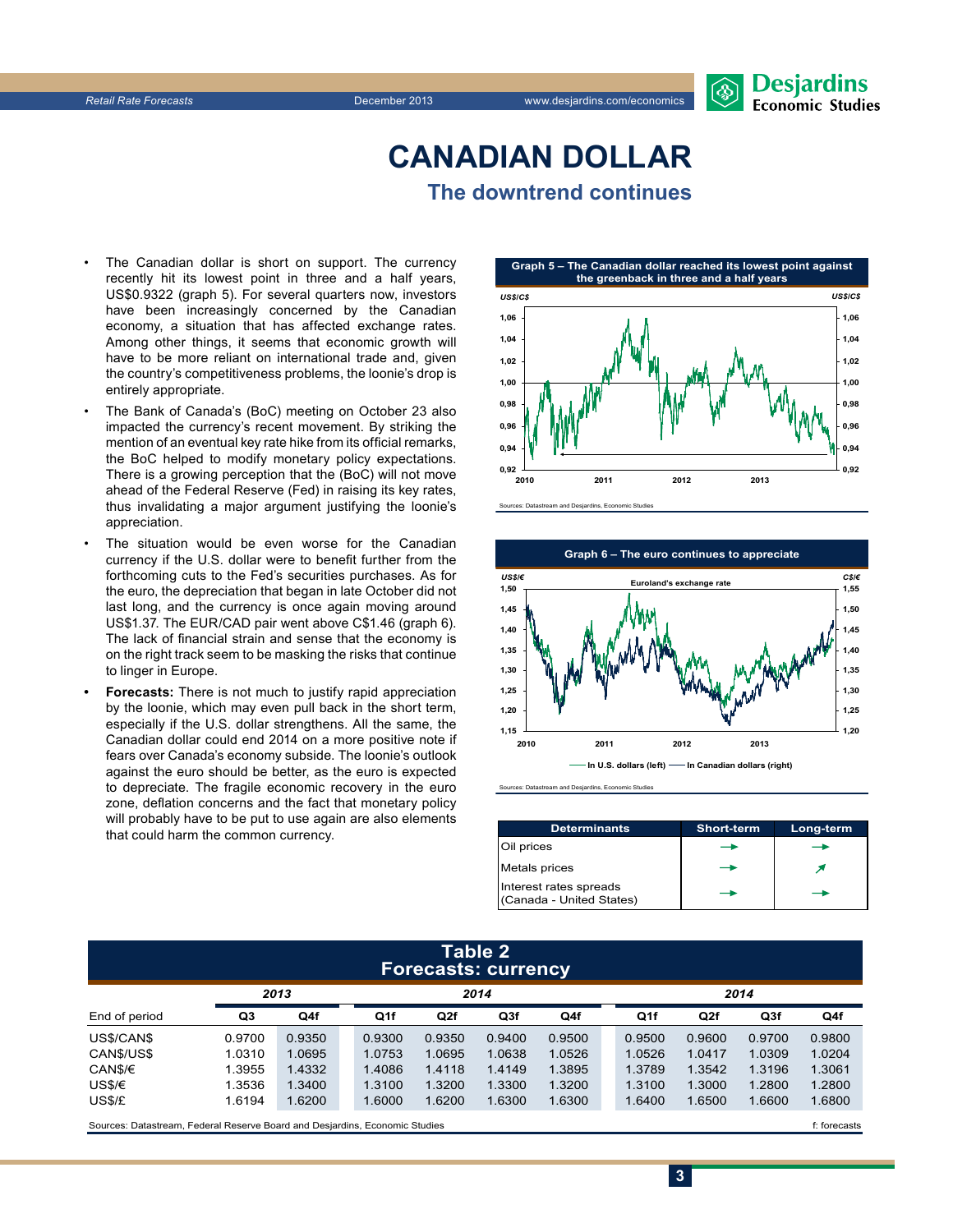## **CanadiAn Dollar The downtrend continues**

- The Canadian dollar is short on support. The currency recently hit its lowest point in three and a half years, US\$0.9322 (graph 5). For several quarters now, investors have been increasingly concerned by the Canadian economy, a situation that has affected exchange rates. Among other things, it seems that economic growth will have to be more reliant on international trade and, given the country's competitiveness problems, the loonie's drop is entirely appropriate.
- The Bank of Canada's (BoC) meeting on October 23 also impacted the currency's recent movement. By striking the mention of an eventual key rate hike from its official remarks, the BoC helped to modify monetary policy expectations. There is a growing perception that the (BoC) will not move ahead of the Federal Reserve (Fed) in raising its key rates, thus invalidating a major argument justifying the loonie's appreciation.
- The situation would be even worse for the Canadian currency if the U.S. dollar were to benefit further from the forthcoming cuts to the Fed's securities purchases. As for the euro, the depreciation that began in late October did not last long, and the currency is once again moving around US\$1.37. The EUR/CAD pair went above C\$1.46 (graph 6). The lack of financial strain and sense that the economy is on the right track seem to be masking the risks that continue to linger in Europe.
- **Forecasts:** There is not much to justify rapid appreciation by the loonie, which may even pull back in the short term, especially if the U.S. dollar strengthens. All the same, the Canadian dollar could end 2014 on a more positive note if fears over Canada's economy subside. The loonie's outlook against the euro should be better, as the euro is expected to depreciate. The fragile economic recovery in the euro zone, deflation concerns and the fact that monetary policy will probably have to be put to use again are also elements that could harm the common currency.







Sources: Datastream and Desjardins, Economic Studies

| <b>Determinants</b>                                | <b>Short-term</b> | Long-term |
|----------------------------------------------------|-------------------|-----------|
| Oil prices                                         |                   |           |
| <b>Metals prices</b>                               |                   |           |
| Interest rates spreads<br>(Canada - United States) |                   |           |

**3**

#### **Table 2 Forecasts: currency**

|               |        | 2013   |  | 2014   |        |        |        |  | 2014   |        |        |        |  |
|---------------|--------|--------|--|--------|--------|--------|--------|--|--------|--------|--------|--------|--|
| End of period | Q3     | Q4f    |  | Q1f    | Q2f    | Q3f    | Q4f    |  | Q1f    | Q2f    | Q3f    | Q4f    |  |
| US\$/CAN\$    | 0.9700 | 0.9350 |  | 0.9300 | 0.9350 | 0.9400 | 0.9500 |  | 0.9500 | 0.9600 | 0.9700 | 0.9800 |  |
| CAN\$/US\$    | 1.0310 | 1.0695 |  | 1.0753 | 1.0695 | 1.0638 | 1.0526 |  | 1.0526 | 1.0417 | 1.0309 | 1.0204 |  |
| CAN\$/€       | 1.3955 | 1.4332 |  | 1.4086 | 1.4118 | 1.4149 | 1.3895 |  | 1.3789 | 1.3542 | 1.3196 | 1.3061 |  |
| US\$/€        | 1.3536 | 1.3400 |  | 1.3100 | 1.3200 | 1.3300 | 1.3200 |  | 1.3100 | 1.3000 | 1.2800 | 1.2800 |  |
| US\$/£        | 1.6194 | 1.6200 |  | 1.6000 | 1.6200 | 1.6300 | 1.6300 |  | 1.6400 | 1.6500 | 1.6600 | 1.6800 |  |
|               |        |        |  |        |        |        |        |  |        |        |        |        |  |

Sources: Datastream, Federal Reserve Board and Desjardins, Economic Studies files for example of the studies files forecasts files forecasts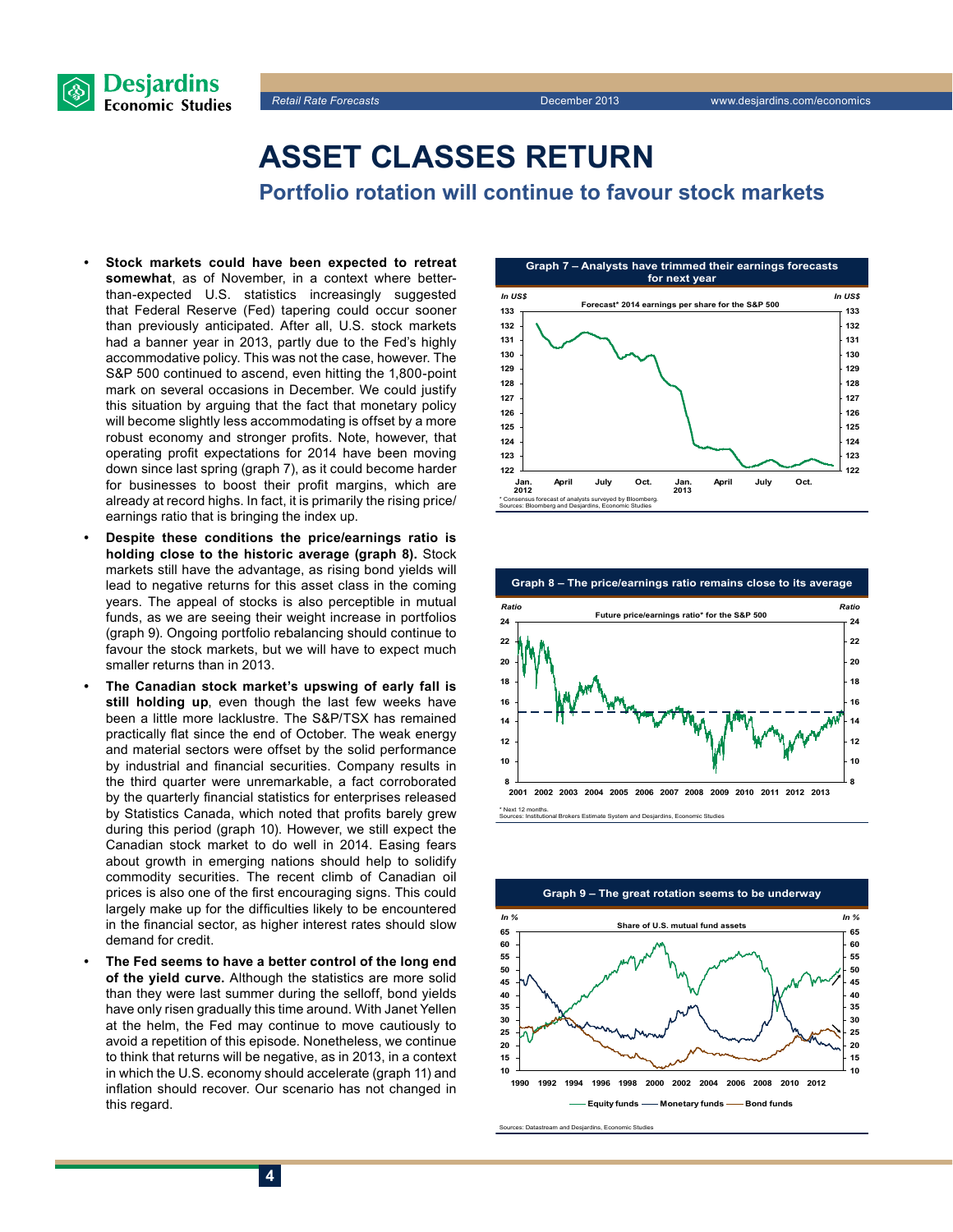



## **Asset classes return**

**Portfolio rotation will continue to favour stock markets**

- **Stock markets could have been expected to retreat somewhat**, as of November, in a context where betterthan-expected U.S. statistics increasingly suggested that Federal Reserve (Fed) tapering could occur sooner than previously anticipated. After all, U.S. stock markets had a banner year in 2013, partly due to the Fed's highly accommodative policy. This was not the case, however. The S&P 500 continued to ascend, even hitting the 1,800-point mark on several occasions in December. We could justify this situation by arguing that the fact that monetary policy will become slightly less accommodating is offset by a more robust economy and stronger profits. Note, however, that operating profit expectations for 2014 have been moving down since last spring (graph 7), as it could become harder for businesses to boost their profit margins, which are already at record highs. In fact, it is primarily the rising price/ earnings ratio that is bringing the index up.
- **Despite these conditions the price/earnings ratio is holding close to the historic average (graph 8).** Stock markets still have the advantage, as rising bond yields will lead to negative returns for this asset class in the coming years. The appeal of stocks is also perceptible in mutual funds, as we are seeing their weight increase in portfolios (graph 9). Ongoing portfolio rebalancing should continue to favour the stock markets, but we will have to expect much smaller returns than in 2013.
- The Canadian stock market's upswing of early fall is **still holding up**, even though the last few weeks have been a little more lacklustre. The S&P/TSX has remained practically flat since the end of October. The weak energy and material sectors were offset by the solid performance by industrial and financial securities. Company results in the third quarter were unremarkable, a fact corroborated by the quarterly financial statistics for enterprises released by Statistics Canada, which noted that profits barely grew during this period (graph 10). However, we still expect the Canadian stock market to do well in 2014. Easing fears about growth in emerging nations should help to solidify commodity securities. The recent climb of Canadian oil prices is also one of the first encouraging signs. This could largely make up for the difficulties likely to be encountered in the financial sector, as higher interest rates should slow demand for credit.
- The Fed seems to have a better control of the long end **of the yield curve.** Although the statistics are more solid than they were last summer during the selloff, bond yields have only risen gradually this time around. With Janet Yellen at the helm, the Fed may continue to move cautiously to avoid a repetition of this episode. Nonetheless, we continue to think that returns will be negative, as in 2013, in a context in which the U.S. economy should accelerate (graph 11) and inflation should recover. Our scenario has not changed in this regard.







Sources: Datastream and Desjardins, Economic Studies **Graph 9 – The great rotation seems to be underway 10 15 20 25 30 35 40 45 50 55 60 65 1990 1992 1994 1996 1998 2000 2002 2004 2006 2008 2010 2012 10 15 20 25 30 35 40 45 50 55 60 65 Equity funds -Alonetary funds -Along funds Share of U.S. mutual fund assets** *In % In %*